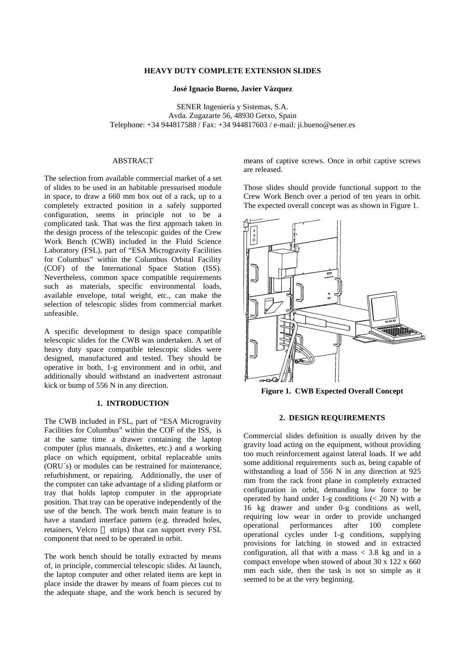# **HEAVY DUTY COMPLETE EXTENSION SLIDES**

**José Ignacio Bueno, Javier Vázquez**

SENER Ingeniería y Sistemas, S.A. Avda. Zugazarte 56, 48930 Getxo, Spain Telephone: +34 944817588 / Fax: +34 944817603 / e-mail: ji.bueno@sener.es

# ABSTRACT

The selection from available commercial market of a set of slides to be used in an habitable pressurised module in space, to draw a 660 mm box out of a rack, up to a completely extracted position in a safely supported configuration, seems in principle not to be a complicated task. That was the first approach taken in the design process of the telescopic guides of the Crew Work Bench (CWB) included in the Fluid Science Laboratory (FSL), part of "ESA Microgravity Facilities for Columbus" within the Columbus Orbital Facility (COF) of the International Space Station (ISS). Nevertheless, common space compatible requirements such as materials, specific environmental loads, available envelope, total weight, etc., can make the selection of telescopic slides from commercial market unfeasible.

A specific development to design space compatible telescopic slides for the CWB was undertaken. A set of heavy duty space compatible telescopic slides were designed, manufactured and tested. They should be operative in both, 1-g environment and in orbit, and additionally should withstand an inadvertent astronaut kick or bump of 556 N in any direction.

### **1. INTRODUCTION**

The CWB included in FSL, part of "ESA Microgravity Facilities for Columbus" within the COF of the ISS, is at the same time a drawer containing the laptop computer (plus manuals, diskettes, etc.) and a working place on which equipment, orbital replaceable units (ORU´s) or modules can be restrained for maintenance, refurbishment, or repairing. Additionally, the user of the computer can take advantage of a sliding platform or tray that holds laptop computer in the appropriate position. That tray can be operative independently of the use of the bench. The work bench main feature is to have a standard interface pattern (e.g. threaded holes, retainers, Velcro  $\circledast$  strips) that can support every FSL component that need to be operated in orbit.

The work bench should be totally extracted by means of, in principle, commercial telescopic slides. At launch, the laptop computer and other related items are kept in place inside the drawer by means of foam pieces cut to the adequate shape, and the work bench is secured by means of captive screws. Once in orbit captive screws are released.

Those slides should provide functional support to the Crew Work Bench over a period of ten years in orbit. The expected overall concept was as shown in Figure 1.



**Figure 1. CWB Expected Overall Concept**

# **2. DESIGN REQUIREMENTS**

Commercial slides definition is usually driven by the gravity load acting on the equipment, without providing too much reinforcement against lateral loads. If we add some additional requirements such as, being capable of withstanding a load of 556 N in any direction at 925 mm from the rack front plane in completely extracted configuration in orbit, demanding low force to be operated by hand under 1-g conditions  $( $20 \text{ N}$ )$  with a 16 kg drawer and under 0-g conditions as well, requiring low wear in order to provide unchanged operational performances after 100 complete operational cycles under 1-g conditions, supplying provisions for latching in stowed and in extracted configuration, all that with a mass  $\langle 3.8 \text{ kg} \rangle$  and in a compact envelope when stowed of about  $30 \times 122 \times 660$ mm each side, then the task is not so simple as it seemed to be at the very beginning.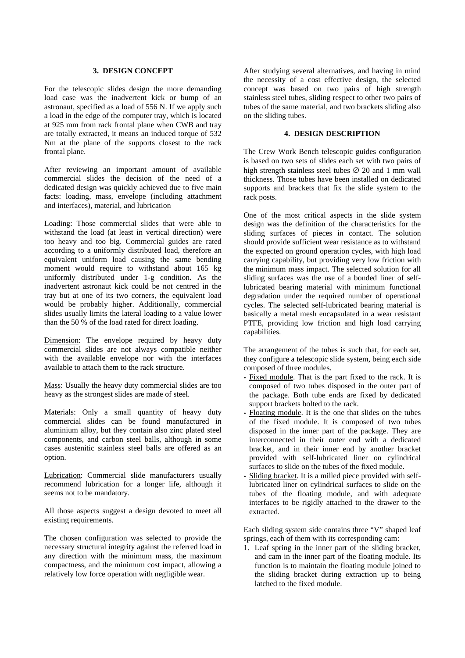## **3. DESIGN CONCEPT**

For the telescopic slides design the more demanding load case was the inadvertent kick or bump of an astronaut, specified as a load of 556 N. If we apply such a load in the edge of the computer tray, which is located at 925 mm from rack frontal plane when CWB and tray are totally extracted, it means an induced torque of 532 Nm at the plane of the supports closest to the rack frontal plane.

After reviewing an important amount of available commercial slides the decision of the need of a dedicated design was quickly achieved due to five main facts: loading, mass, envelope (including attachment and interfaces), material, and lubrication

Loading: Those commercial slides that were able to withstand the load (at least in vertical direction) were too heavy and too big. Commercial guides are rated according to a uniformly distributed load, therefore an equivalent uniform load causing the same bending moment would require to withstand about 165 kg uniformly distributed under 1-g condition. As the inadvertent astronaut kick could be not centred in the tray but at one of its two corners, the equivalent load would be probably higher. Additionally, commercial slides usually limits the lateral loading to a value lower than the 50 % of the load rated for direct loading.

Dimension: The envelope required by heavy duty commercial slides are not always compatible neither with the available envelope nor with the interfaces available to attach them to the rack structure.

Mass: Usually the heavy duty commercial slides are too heavy as the strongest slides are made of steel.

Materials: Only a small quantity of heavy duty commercial slides can be found manufactured in aluminium alloy, but they contain also zinc plated steel components, and carbon steel balls, although in some cases austenitic stainless steel balls are offered as an option.

Lubrication: Commercial slide manufacturers usually recommend lubrication for a longer life, although it seems not to be mandatory.

All those aspects suggest a design devoted to meet all existing requirements.

The chosen configuration was selected to provide the necessary structural integrity against the referred load in any direction with the minimum mass, the maximum compactness, and the minimum cost impact, allowing a relatively low force operation with negligible wear.

After studying several alternatives, and having in mind the necessity of a cost effective design, the selected concept was based on two pairs of high strength stainless steel tubes, sliding respect to other two pairs of tubes of the same material, and two brackets sliding also on the sliding tubes.

# **4. DESIGN DESCRIPTION**

The Crew Work Bench telescopic guides configuration is based on two sets of slides each set with two pairs of high strength stainless steel tubes  $\varnothing$  20 and 1 mm wall thickness. Those tubes have been installed on dedicated supports and brackets that fix the slide system to the rack posts.

One of the most critical aspects in the slide system design was the definition of the characteristics for the sliding surfaces of pieces in contact. The solution should provide sufficient wear resistance as to withstand the expected on ground operation cycles, with high load carrying capability, but providing very low friction with the minimum mass impact. The selected solution for all sliding surfaces was the use of a bonded liner of selflubricated bearing material with minimum functional degradation under the required number of operational cycles. The selected self-lubricated bearing material is basically a metal mesh encapsulated in a wear resistant PTFE, providing low friction and high load carrying capabilities.

The arrangement of the tubes is such that, for each set, they configure a telescopic slide system, being each side composed of three modules.

- Fixed module. That is the part fixed to the rack. It is composed of two tubes disposed in the outer part of the package. Both tube ends are fixed by dedicated support brackets bolted to the rack.
- Floating module. It is the one that slides on the tubes of the fixed module. It is composed of two tubes disposed in the inner part of the package. They are interconnected in their outer end with a dedicated bracket, and in their inner end by another bracket provided with self-lubricated liner on cylindrical surfaces to slide on the tubes of the fixed module.
- Sliding bracket. It is a milled piece provided with selflubricated liner on cylindrical surfaces to slide on the tubes of the floating module, and with adequate interfaces to be rigidly attached to the drawer to the extracted.

Each sliding system side contains three "V" shaped leaf springs, each of them with its corresponding cam:

1. Leaf spring in the inner part of the sliding bracket, and cam in the inner part of the floating module. Its function is to maintain the floating module joined to the sliding bracket during extraction up to being latched to the fixed module.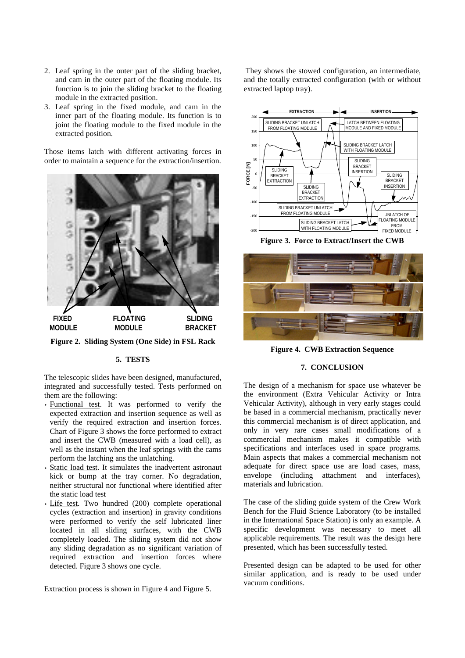- 2. Leaf spring in the outer part of the sliding bracket, and cam in the outer part of the floating module. Its function is to join the sliding bracket to the floating module in the extracted position.
- 3. Leaf spring in the fixed module, and cam in the inner part of the floating module. Its function is to joint the floating module to the fixed module in the extracted position.

Those items latch with different activating forces in order to maintain a sequence for the extraction/insertion.



**Figure 2. Sliding System (One Side) in FSL Rack**

### **5. TESTS**

The telescopic slides have been designed, manufactured, integrated and successfully tested. Tests performed on them are the following:

- Functional test. It was performed to verify the expected extraction and insertion sequence as well as verify the required extraction and insertion forces. Chart of Figure 3 shows the force performed to extract and insert the CWB (measured with a load cell), as well as the instant when the leaf springs with the cams perform the latching ans the unlatching.
- Static load test. It simulates the inadvertent astronaut kick or bump at the tray corner. No degradation, neither structural nor functional where identified after the static load test
- Life test. Two hundred (200) complete operational cycles (extraction and insertion) in gravity conditions were performed to verify the self lubricated liner located in all sliding surfaces, with the CWB completely loaded. The sliding system did not show any sliding degradation as no significant variation of required extraction and insertion forces where detected. Figure 3 shows one cycle.

Extraction process is shown in Figure 4 and Figure 5.

 They shows the stowed configuration, an intermediate, and the totally extracted configuration (with or without extracted laptop tray).



**Figure 3. Force to Extract/Insert the CWB**



**Figure 4. CWB Extraction Sequence**

# **7. CONCLUSION**

The design of a mechanism for space use whatever be the environment (Extra Vehicular Activity or Intra Vehicular Activity), although in very early stages could be based in a commercial mechanism, practically never this commercial mechanism is of direct application, and only in very rare cases small modifications of a commercial mechanism makes it compatible with specifications and interfaces used in space programs. Main aspects that makes a commercial mechanism not adequate for direct space use are load cases, mass, envelope (including attachment and interfaces), materials and lubrication.

The case of the sliding guide system of the Crew Work Bench for the Fluid Science Laboratory (to be installed in the International Space Station) is only an example. A specific development was necessary to meet all applicable requirements. The result was the design here presented, which has been successfully tested.

Presented design can be adapted to be used for other similar application, and is ready to be used under vacuum conditions.